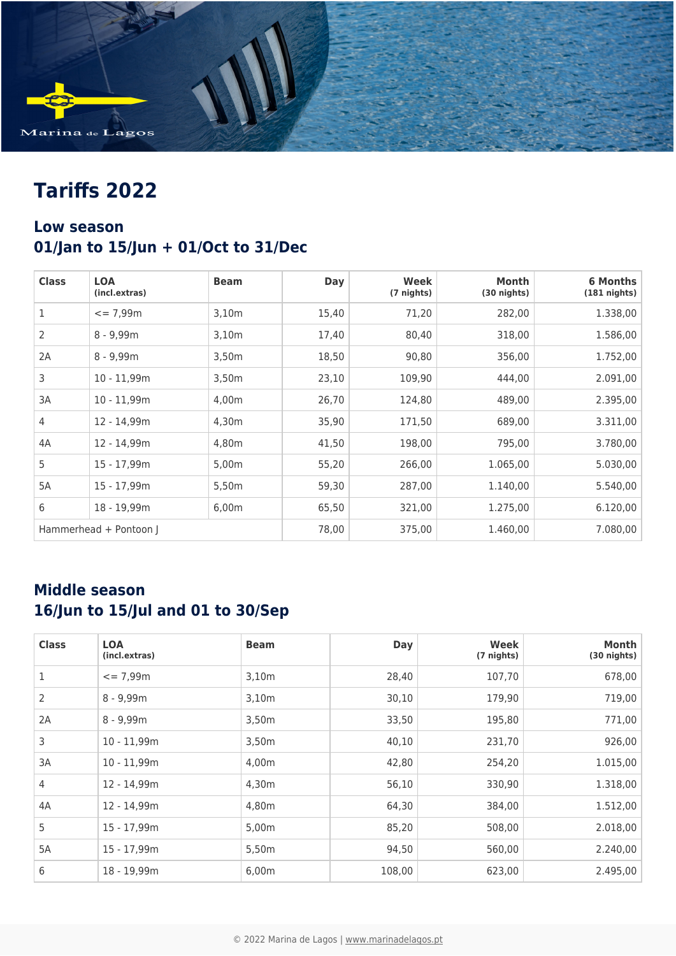

# **Tariffs 2022**

### **Low season 01/Jan to 15/Jun + 01/Oct to 31/Dec**

| <b>Class</b>   | <b>LOA</b><br>(incl.extras) | <b>Beam</b> | <b>Day</b> | Week<br>(7 nights) | Month<br>$(30$ nights) | <b>6 Months</b><br>$(181$ nights) |
|----------------|-----------------------------|-------------|------------|--------------------|------------------------|-----------------------------------|
| 1              | $= 7.99m$                   | 3,10m       | 15,40      | 71,20              | 282,00                 | 1.338,00                          |
| $\overline{2}$ | $8 - 9,99m$                 | 3,10m       | 17,40      | 80,40              | 318,00                 | 1.586,00                          |
| 2A             | $8 - 9,99m$                 | 3,50m       | 18,50      | 90,80              | 356,00                 | 1.752,00                          |
| 3              | $10 - 11,99m$               | 3,50m       | 23,10      | 109,90             | 444,00                 | 2.091,00                          |
| 3A             | $10 - 11.99m$               | 4.00m       | 26,70      | 124,80             | 489,00                 | 2.395,00                          |
| $\overline{4}$ | 12 - 14,99m                 | 4,30m       | 35,90      | 171,50             | 689,00                 | 3.311,00                          |
| 4A             | 12 - 14,99m                 | 4,80m       | 41,50      | 198,00             | 795,00                 | 3.780,00                          |
| 5              | 15 - 17,99m                 | 5,00m       | 55,20      | 266,00             | 1.065,00               | 5.030,00                          |
| 5A             | 15 - 17,99m                 | 5,50m       | 59,30      | 287,00             | 1.140,00               | 5.540,00                          |
| 6              | 18 - 19,99m                 | 6,00m       | 65,50      | 321,00             | 1.275,00               | 6.120,00                          |
|                | Hammerhead + Pontoon J      |             | 78,00      | 375,00             | 1.460,00               | 7.080,00                          |

### **Middle season 16/Jun to 15/Jul and 01 to 30/Sep**

| <b>Class</b> | <b>LOA</b><br>(incl.extras) | <b>Beam</b> | <b>Day</b> | Week<br>(7 nights) | Month<br>$(30$ nights) |
|--------------|-----------------------------|-------------|------------|--------------------|------------------------|
| 1            | $= 7,99m$                   | 3,10m       | 28,40      | 107,70             | 678,00                 |
| 2            | $8 - 9,99m$                 | 3,10m       | 30,10      | 179,90             | 719,00                 |
| 2A           | $8 - 9,99m$                 | 3,50m       | 33,50      | 195,80             | 771,00                 |
| 3            | $10 - 11,99m$               | 3,50m       | 40,10      | 231,70             | 926,00                 |
| 3A           | $10 - 11,99m$               | 4,00m       | 42,80      | 254,20             | 1.015,00               |
| 4            | 12 - 14,99m                 | 4,30m       | 56,10      | 330,90             | 1.318,00               |
| 4A           | 12 - 14,99m                 | 4,80m       | 64,30      | 384,00             | 1.512,00               |
| 5            | 15 - 17,99m                 | 5,00m       | 85,20      | 508,00             | 2.018,00               |
| 5A           | 15 - 17,99m                 | 5,50m       | 94,50      | 560,00             | 2.240,00               |
| 6            | 18 - 19,99m                 | 6,00m       | 108,00     | 623,00             | 2.495,00               |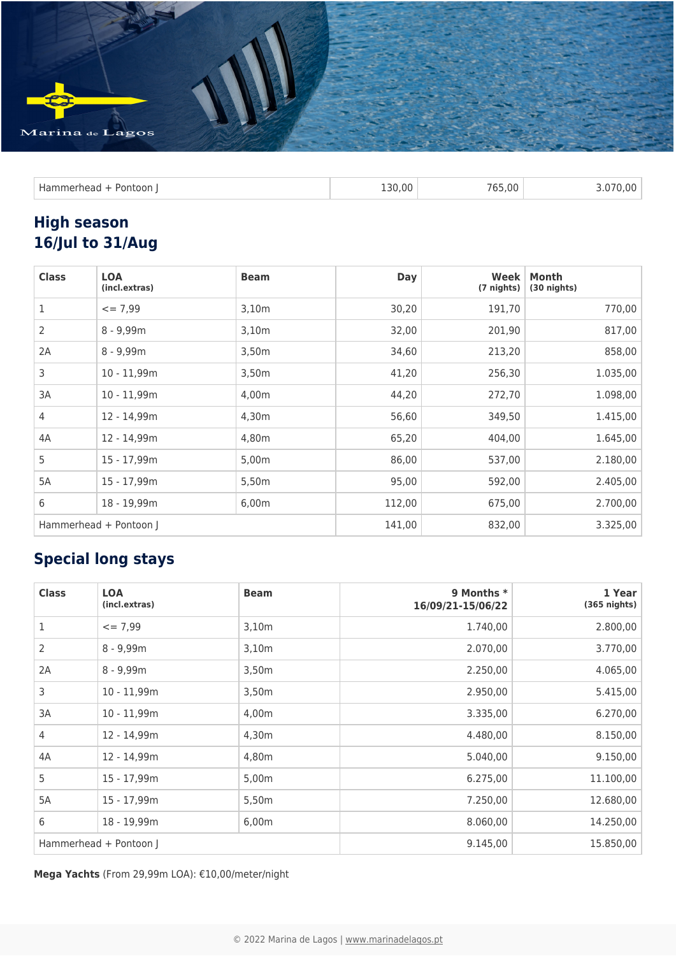

| <b>Hammerhead</b> | L30.00 | 765,00 | .070.00 |
|-------------------|--------|--------|---------|
| Pontoon           | $\sim$ |        | $    -$ |
|                   |        |        |         |

### **High season 16/Jul to 31/Aug**

| <b>Class</b>   | <b>LOA</b><br>(incl.extras) | <b>Beam</b> | <b>Day</b> | Week<br>(7 nights) | Month<br>$(30$ nights) |
|----------------|-----------------------------|-------------|------------|--------------------|------------------------|
| 1              | $= 7,99$                    | 3,10m       | 30,20      | 191,70             | 770,00                 |
| 2              | $8 - 9,99m$                 | 3,10m       | 32,00      | 201,90             | 817,00                 |
| 2A             | $8 - 9,99m$                 | 3,50m       | 34,60      | 213,20             | 858,00                 |
| 3              | $10 - 11,99m$               | 3,50m       | 41,20      | 256,30             | 1.035,00               |
| 3A             | $10 - 11,99m$               | 4,00m       | 44,20      | 272,70             | 1.098,00               |
| $\overline{4}$ | 12 - 14,99m                 | 4,30m       | 56,60      | 349,50             | 1.415,00               |
| 4A             | 12 - 14,99m                 | 4,80m       | 65,20      | 404,00             | 1.645,00               |
| 5              | 15 - 17,99m                 | 5,00m       | 86,00      | 537,00             | 2.180,00               |
| 5A             | 15 - 17,99m                 | 5,50m       | 95,00      | 592,00             | 2.405,00               |
| 6              | 18 - 19,99m                 | 6,00m       | 112,00     | 675,00             | 2.700,00               |
|                | Hammerhead + Pontoon J      |             | 141,00     | 832,00             | 3.325,00               |

## **Special long stays**

| <b>Class</b>   | <b>LOA</b><br>(incl.extras) | <b>Beam</b> | 9 Months *<br>16/09/21-15/06/22 | 1 Year<br>$(365$ nights) |
|----------------|-----------------------------|-------------|---------------------------------|--------------------------|
| $\mathbf{1}$   | $\leq$ = 7,99               | 3,10m       | 1.740,00                        | 2.800,00                 |
| 2              | $8 - 9,99m$                 | 3,10m       | 2.070,00                        | 3.770,00                 |
| 2A             | $8 - 9,99m$                 | 3,50m       | 2.250,00                        | 4.065,00                 |
| 3              | $10 - 11,99m$               | 3,50m       | 2.950,00                        | 5.415,00                 |
| 3A             | $10 - 11,99m$               | 4,00m       | 3.335,00                        | 6.270,00                 |
| $\overline{4}$ | 12 - 14,99m                 | 4,30m       | 4.480,00                        | 8.150,00                 |
| 4A             | 12 - 14,99m                 | 4,80m       | 5.040,00                        | 9.150,00                 |
| 5              | 15 - 17,99m                 | 5,00m       | 6.275,00                        | 11.100,00                |
| 5A             | 15 - 17,99m                 | 5,50m       | 7.250,00                        | 12.680,00                |
| 6              | 18 - 19,99m                 | 6,00m       | 8.060,00                        | 14.250,00                |
|                | Hammerhead + Pontoon J      |             | 9.145,00                        | 15.850,00                |

**Mega Yachts** (From 29,99m LOA): €10,00/meter/night